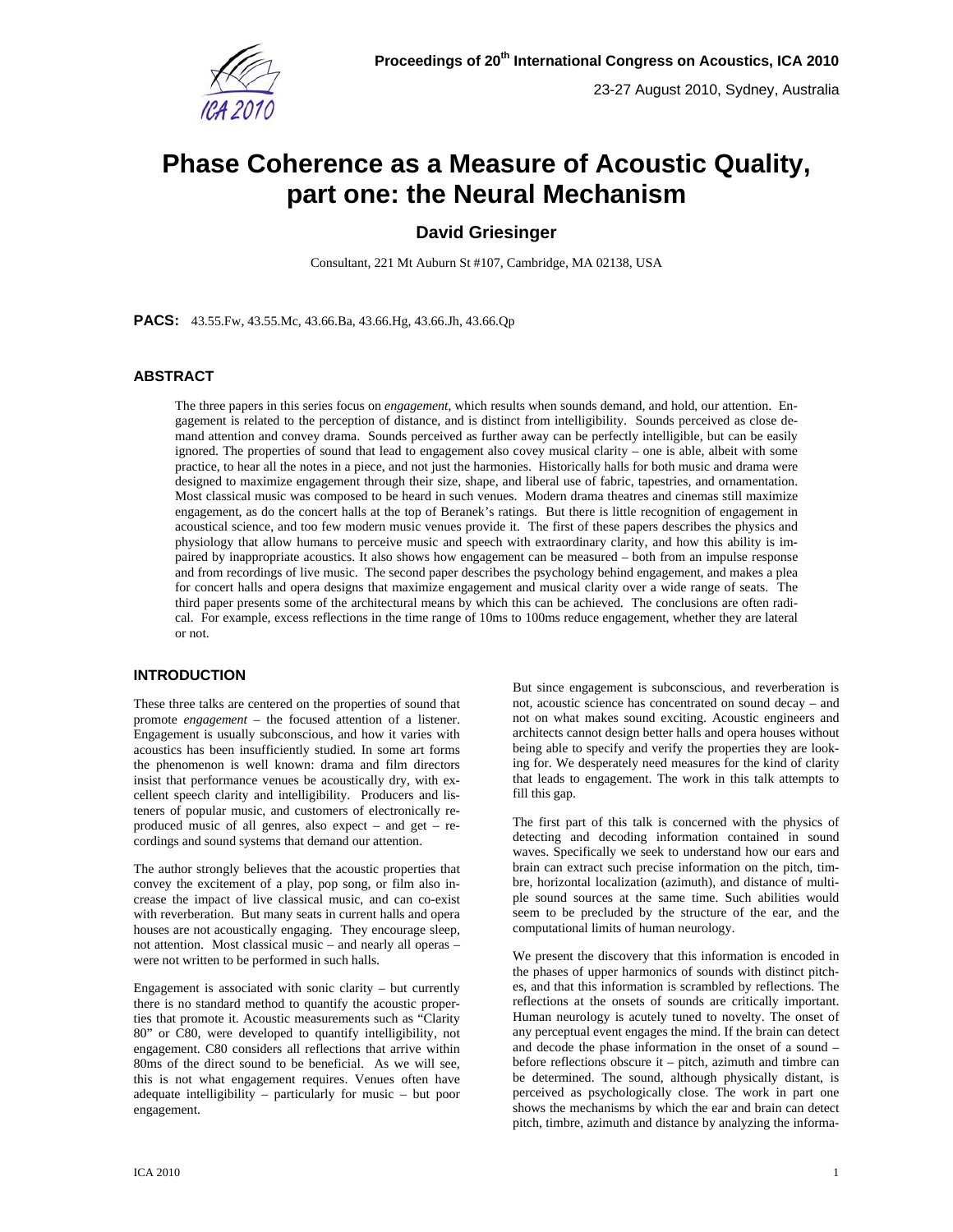

# **Phase Coherence as a Measure of Acoustic Quality, part one: the Neural Mechanism**

# **David Griesinger**

Consultant, 221 Mt Auburn St #107, Cambridge, MA 02138, USA

**PACS:** 43.55.Fw, 43.55.Mc, 43.66.Ba, 43.66.Hg, 43.66.Jh, 43.66.Qp

# **ABSTRACT**

The three papers in this series focus on *engagement*, which results when sounds demand, and hold, our attention. Engagement is related to the perception of distance, and is distinct from intelligibility. Sounds perceived as close demand attention and convey drama. Sounds perceived as further away can be perfectly intelligible, but can be easily ignored. The properties of sound that lead to engagement also covey musical clarity – one is able, albeit with some practice, to hear all the notes in a piece, and not just the harmonies. Historically halls for both music and drama were designed to maximize engagement through their size, shape, and liberal use of fabric, tapestries, and ornamentation. Most classical music was composed to be heard in such venues. Modern drama theatres and cinemas still maximize engagement, as do the concert halls at the top of Beranek's ratings. But there is little recognition of engagement in acoustical science, and too few modern music venues provide it. The first of these papers describes the physics and physiology that allow humans to perceive music and speech with extraordinary clarity, and how this ability is impaired by inappropriate acoustics. It also shows how engagement can be measured – both from an impulse response and from recordings of live music. The second paper describes the psychology behind engagement, and makes a plea for concert halls and opera designs that maximize engagement and musical clarity over a wide range of seats. The third paper presents some of the architectural means by which this can be achieved. The conclusions are often radical. For example, excess reflections in the time range of 10ms to 100ms reduce engagement, whether they are lateral or not.

# **INTRODUCTION**

These three talks are centered on the properties of sound that promote *engagement* – the focused attention of a listener. Engagement is usually subconscious, and how it varies with acoustics has been insufficiently studied. In some art forms the phenomenon is well known: drama and film directors insist that performance venues be acoustically dry, with excellent speech clarity and intelligibility. Producers and listeners of popular music, and customers of electronically reproduced music of all genres, also expect – and get – recordings and sound systems that demand our attention.

The author strongly believes that the acoustic properties that convey the excitement of a play, pop song, or film also increase the impact of live classical music, and can co-exist with reverberation. But many seats in current halls and opera houses are not acoustically engaging. They encourage sleep, not attention. Most classical music – and nearly all operas – were not written to be performed in such halls.

Engagement is associated with sonic clarity – but currently there is no standard method to quantify the acoustic properties that promote it. Acoustic measurements such as "Clarity 80" or C80, were developed to quantify intelligibility, not engagement. C80 considers all reflections that arrive within 80ms of the direct sound to be beneficial. As we will see, this is not what engagement requires. Venues often have adequate intelligibility – particularly for music – but poor engagement.

But since engagement is subconscious, and reverberation is not, acoustic science has concentrated on sound decay – and not on what makes sound exciting. Acoustic engineers and architects cannot design better halls and opera houses without being able to specify and verify the properties they are looking for. We desperately need measures for the kind of clarity that leads to engagement. The work in this talk attempts to fill this gap.

The first part of this talk is concerned with the physics of detecting and decoding information contained in sound waves. Specifically we seek to understand how our ears and brain can extract such precise information on the pitch, timbre, horizontal localization (azimuth), and distance of multiple sound sources at the same time. Such abilities would seem to be precluded by the structure of the ear, and the computational limits of human neurology.

We present the discovery that this information is encoded in the phases of upper harmonics of sounds with distinct pitches, and that this information is scrambled by reflections. The reflections at the onsets of sounds are critically important. Human neurology is acutely tuned to novelty. The onset of any perceptual event engages the mind. If the brain can detect and decode the phase information in the onset of a sound – before reflections obscure it – pitch, azimuth and timbre can be determined. The sound, although physically distant, is perceived as psychologically close. The work in part one shows the mechanisms by which the ear and brain can detect pitch, timbre, azimuth and distance by analyzing the informa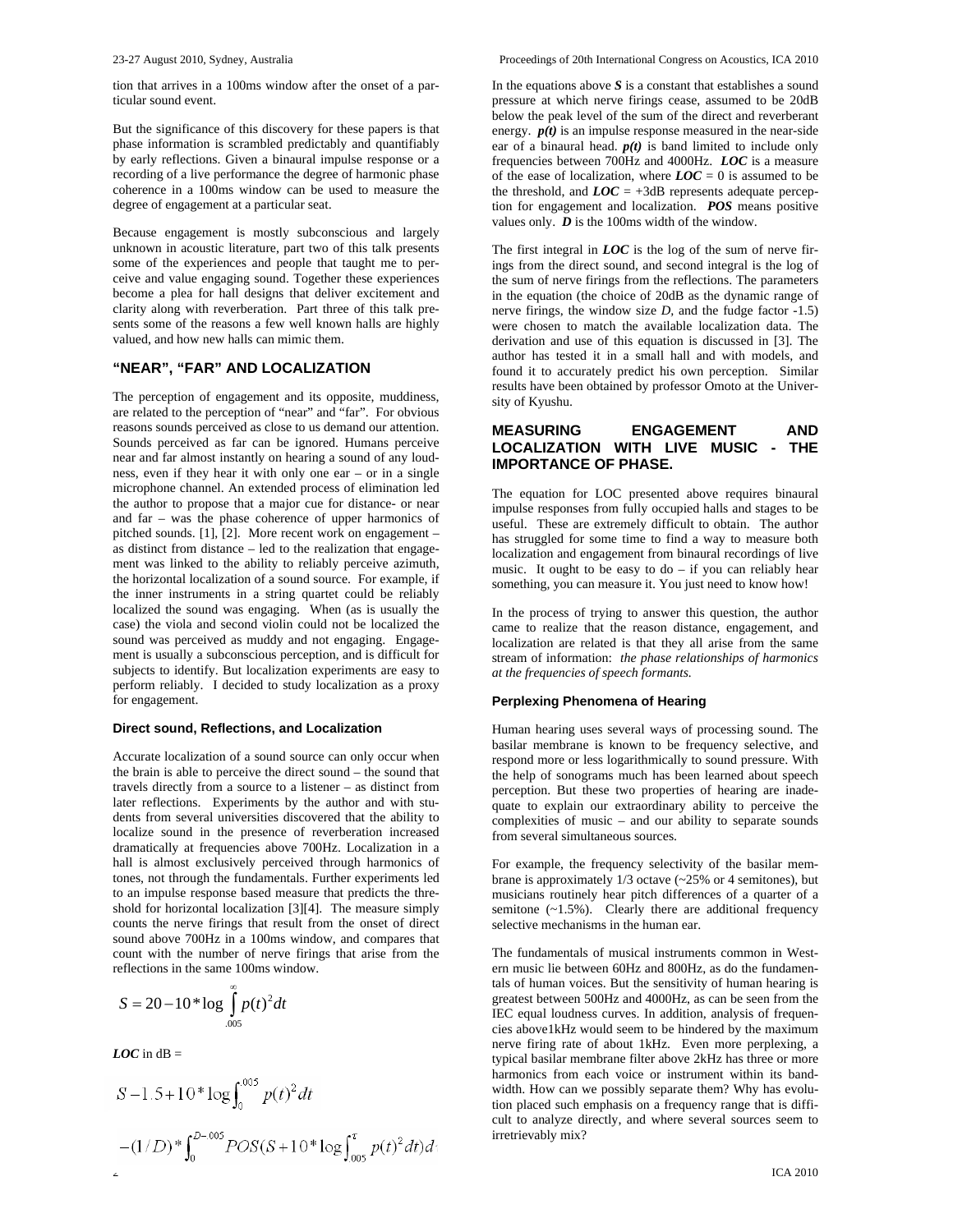tion that arrives in a 100ms window after the onset of a particular sound event.

But the significance of this discovery for these papers is that phase information is scrambled predictably and quantifiably by early reflections. Given a binaural impulse response or a recording of a live performance the degree of harmonic phase coherence in a 100ms window can be used to measure the degree of engagement at a particular seat.

Because engagement is mostly subconscious and largely unknown in acoustic literature, part two of this talk presents some of the experiences and people that taught me to perceive and value engaging sound. Together these experiences become a plea for hall designs that deliver excitement and clarity along with reverberation. Part three of this talk presents some of the reasons a few well known halls are highly valued, and how new halls can mimic them.

#### **"NEAR", "FAR" AND LOCALIZATION**

The perception of engagement and its opposite, muddiness, are related to the perception of "near" and "far". For obvious reasons sounds perceived as close to us demand our attention. Sounds perceived as far can be ignored. Humans perceive near and far almost instantly on hearing a sound of any loudness, even if they hear it with only one ear – or in a single microphone channel. An extended process of elimination led the author to propose that a major cue for distance- or near and far – was the phase coherence of upper harmonics of pitched sounds. [1], [2]. More recent work on engagement – as distinct from distance – led to the realization that engagement was linked to the ability to reliably perceive azimuth, the horizontal localization of a sound source. For example, if the inner instruments in a string quartet could be reliably localized the sound was engaging. When (as is usually the case) the viola and second violin could not be localized the sound was perceived as muddy and not engaging. Engagement is usually a subconscious perception, and is difficult for subjects to identify. But localization experiments are easy to perform reliably. I decided to study localization as a proxy for engagement.

#### **Direct sound, Reflections, and Localization**

Accurate localization of a sound source can only occur when the brain is able to perceive the direct sound – the sound that travels directly from a source to a listener – as distinct from later reflections. Experiments by the author and with students from several universities discovered that the ability to localize sound in the presence of reverberation increased dramatically at frequencies above 700Hz. Localization in a hall is almost exclusively perceived through harmonics of tones, not through the fundamentals. Further experiments led to an impulse response based measure that predicts the threshold for horizontal localization [3][4]. The measure simply counts the nerve firings that result from the onset of direct sound above 700Hz in a 100ms window, and compares that count with the number of nerve firings that arise from the reflections in the same 100ms window.

$$
S = 20 - 10 * \log \int_{.005}^{\infty} p(t)^2 dt
$$

*LOC* in  $dB =$ 

$$
S-1.5+10^{*} \log \int_{0}^{0.05} p(t)^{2} dt
$$
  
\n
$$
-(1/D)^{*} \int_{0}^{D-0.05} POS(S+10^{*} \log \int_{0.05}^{\tau} p(t)^{2} dt) dt
$$
  
\n
$$
= (1/D)^{*} \int_{0}^{D-0.05} POS(S+10^{*} \log \int_{0.05}^{\tau} p(t)^{2} dt) dt
$$
  
\n
$$
= (1/D)^{*} \int_{0}^{D-0.05} POS(S+10^{*} \log \int_{0.05}^{\tau} p(t)^{2} dt) dt
$$
  
\n
$$
= (1/D)^{*} \int_{0}^{D-0.05} POS(S+10^{*} \log \int_{0.05}^{\tau} p(t)^{2} dt) dt
$$
  
\n
$$
= (1/D)^{*} \int_{0}^{D-0.05} POS(S+10^{*} \log \int_{0.05}^{\tau} p(t)^{2} dt) dt
$$
  
\n
$$
= (1/D)^{*} \int_{0}^{D-0.05} POS(S+10^{*} \log \int_{0.05}^{\tau} p(t)^{2} dt) dt
$$

In the equations above *S* is a constant that establishes a sound pressure at which nerve firings cease, assumed to be 20dB below the peak level of the sum of the direct and reverberant energy.  $p(t)$  is an impulse response measured in the near-side ear of a binaural head.  $p(t)$  is band limited to include only frequencies between 700Hz and 4000Hz. *LOC* is a measure of the ease of localization, where  $LOC = 0$  is assumed to be the threshold, and  $LOC = +3dB$  represents adequate perception for engagement and localization. *POS* means positive values only. *D* is the 100ms width of the window.

The first integral in *LOC* is the log of the sum of nerve firings from the direct sound, and second integral is the log of the sum of nerve firings from the reflections. The parameters in the equation (the choice of 20dB as the dynamic range of nerve firings, the window size *D,* and the fudge factor -1.5) were chosen to match the available localization data. The derivation and use of this equation is discussed in [3]. The author has tested it in a small hall and with models, and found it to accurately predict his own perception. Similar results have been obtained by professor Omoto at the University of Kyushu.

# **MEASURING ENGAGEMENT AND LOCALIZATION WITH LIVE MUSIC - THE IMPORTANCE OF PHASE.**

The equation for LOC presented above requires binaural impulse responses from fully occupied halls and stages to be useful. These are extremely difficult to obtain. The author has struggled for some time to find a way to measure both localization and engagement from binaural recordings of live music. It ought to be easy to  $do - if$  you can reliably hear something, you can measure it. You just need to know how!

In the process of trying to answer this question, the author came to realize that the reason distance, engagement, and localization are related is that they all arise from the same stream of information: *the phase relationships of harmonics at the frequencies of speech formants.* 

#### **Perplexing Phenomena of Hearing**

Human hearing uses several ways of processing sound. The basilar membrane is known to be frequency selective, and respond more or less logarithmically to sound pressure. With the help of sonograms much has been learned about speech perception. But these two properties of hearing are inadequate to explain our extraordinary ability to perceive the complexities of music – and our ability to separate sounds from several simultaneous sources.

For example, the frequency selectivity of the basilar membrane is approximately 1/3 octave (~25% or 4 semitones), but musicians routinely hear pitch differences of a quarter of a semitone  $(-1.5\%)$ . Clearly there are additional frequency selective mechanisms in the human ear.

The fundamentals of musical instruments common in Western music lie between 60Hz and 800Hz, as do the fundamentals of human voices. But the sensitivity of human hearing is greatest between 500Hz and 4000Hz, as can be seen from the IEC equal loudness curves. In addition, analysis of frequencies above1kHz would seem to be hindered by the maximum nerve firing rate of about 1kHz. Even more perplexing, a typical basilar membrane filter above 2kHz has three or more harmonics from each voice or instrument within its bandwidth. How can we possibly separate them? Why has evolution placed such emphasis on a frequency range that is difficult to analyze directly, and where several sources seem to irretrievably mix?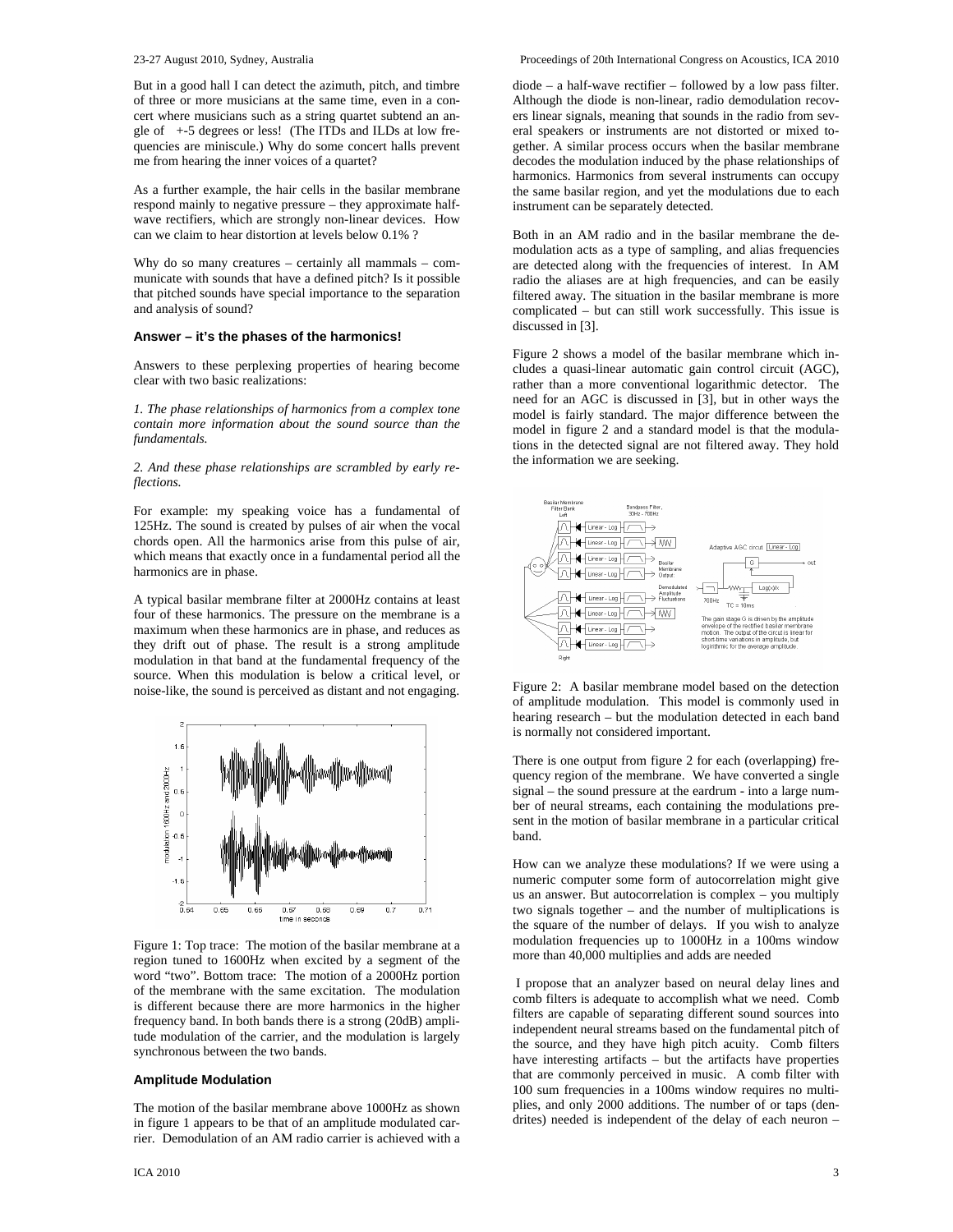But in a good hall I can detect the azimuth, pitch, and timbre of three or more musicians at the same time, even in a concert where musicians such as a string quartet subtend an angle of +-5 degrees or less! (The ITDs and ILDs at low frequencies are miniscule.) Why do some concert halls prevent me from hearing the inner voices of a quartet?

As a further example, the hair cells in the basilar membrane respond mainly to negative pressure – they approximate halfwave rectifiers, which are strongly non-linear devices. How can we claim to hear distortion at levels below 0.1% ?

Why do so many creatures – certainly all mammals – communicate with sounds that have a defined pitch? Is it possible that pitched sounds have special importance to the separation and analysis of sound?

#### **Answer – it's the phases of the harmonics!**

Answers to these perplexing properties of hearing become clear with two basic realizations:

*1. The phase relationships of harmonics from a complex tone contain more information about the sound source than the fundamentals.*

*2. And these phase relationships are scrambled by early reflections.*

For example: my speaking voice has a fundamental of 125Hz. The sound is created by pulses of air when the vocal chords open. All the harmonics arise from this pulse of air, which means that exactly once in a fundamental period all the harmonics are in phase.

A typical basilar membrane filter at 2000Hz contains at least four of these harmonics. The pressure on the membrane is a maximum when these harmonics are in phase, and reduces as they drift out of phase. The result is a strong amplitude modulation in that band at the fundamental frequency of the source. When this modulation is below a critical level, or noise-like, the sound is perceived as distant and not engaging.



Figure 1: Top trace: The motion of the basilar membrane at a region tuned to 1600Hz when excited by a segment of the word "two". Bottom trace: The motion of a 2000Hz portion of the membrane with the same excitation. The modulation is different because there are more harmonics in the higher frequency band. In both bands there is a strong (20dB) amplitude modulation of the carrier, and the modulation is largely synchronous between the two bands.

#### **Amplitude Modulation**

The motion of the basilar membrane above 1000Hz as shown in figure 1 appears to be that of an amplitude modulated carrier. Demodulation of an AM radio carrier is achieved with a diode – a half-wave rectifier – followed by a low pass filter. Although the diode is non-linear, radio demodulation recovers linear signals, meaning that sounds in the radio from several speakers or instruments are not distorted or mixed together. A similar process occurs when the basilar membrane decodes the modulation induced by the phase relationships of harmonics. Harmonics from several instruments can occupy the same basilar region, and yet the modulations due to each instrument can be separately detected.

Both in an AM radio and in the basilar membrane the demodulation acts as a type of sampling, and alias frequencies are detected along with the frequencies of interest. In AM radio the aliases are at high frequencies, and can be easily filtered away. The situation in the basilar membrane is more complicated – but can still work successfully. This issue is discussed in [3].

Figure 2 shows a model of the basilar membrane which includes a quasi-linear automatic gain control circuit (AGC), rather than a more conventional logarithmic detector. The need for an AGC is discussed in [3], but in other ways the model is fairly standard. The major difference between the model in figure 2 and a standard model is that the modulations in the detected signal are not filtered away. They hold the information we are seeking.



Figure 2: A basilar membrane model based on the detection of amplitude modulation. This model is commonly used in hearing research – but the modulation detected in each band is normally not considered important.

There is one output from figure 2 for each (overlapping) frequency region of the membrane. We have converted a single signal – the sound pressure at the eardrum - into a large number of neural streams, each containing the modulations present in the motion of basilar membrane in a particular critical band.

How can we analyze these modulations? If we were using a numeric computer some form of autocorrelation might give us an answer. But autocorrelation is complex – you multiply two signals together – and the number of multiplications is the square of the number of delays. If you wish to analyze modulation frequencies up to 1000Hz in a 100ms window more than 40,000 multiplies and adds are needed

 I propose that an analyzer based on neural delay lines and comb filters is adequate to accomplish what we need. Comb filters are capable of separating different sound sources into independent neural streams based on the fundamental pitch of the source, and they have high pitch acuity. Comb filters have interesting artifacts – but the artifacts have properties that are commonly perceived in music. A comb filter with 100 sum frequencies in a 100ms window requires no multiplies, and only 2000 additions. The number of or taps (dendrites) needed is independent of the delay of each neuron –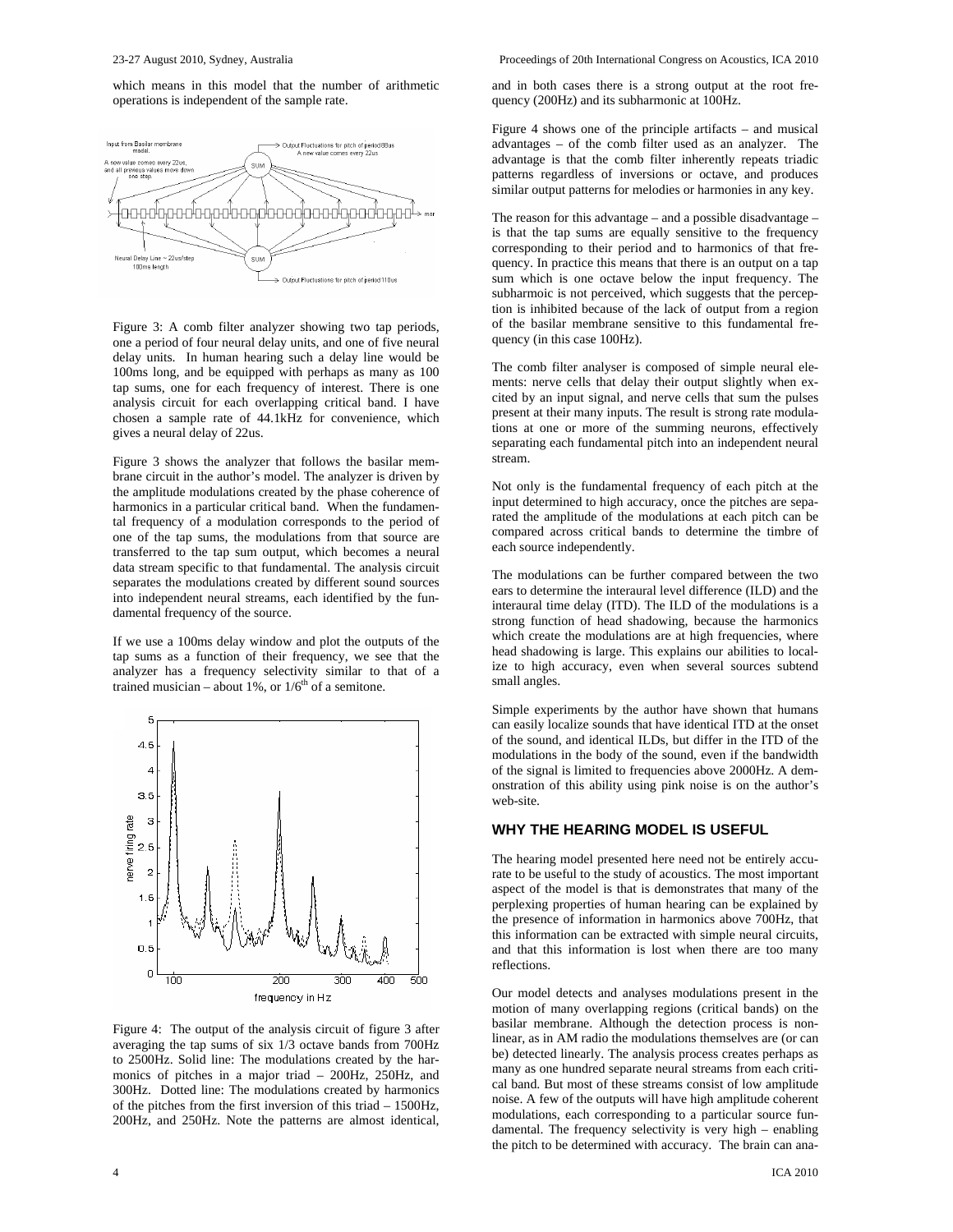which means in this model that the number of arithmetic operations is independent of the sample rate.



Figure 3: A comb filter analyzer showing two tap periods, one a period of four neural delay units, and one of five neural delay units. In human hearing such a delay line would be 100ms long, and be equipped with perhaps as many as 100 tap sums, one for each frequency of interest. There is one analysis circuit for each overlapping critical band. I have chosen a sample rate of 44.1kHz for convenience, which gives a neural delay of 22us.

Figure 3 shows the analyzer that follows the basilar membrane circuit in the author's model. The analyzer is driven by the amplitude modulations created by the phase coherence of harmonics in a particular critical band. When the fundamental frequency of a modulation corresponds to the period of one of the tap sums, the modulations from that source are transferred to the tap sum output, which becomes a neural data stream specific to that fundamental. The analysis circuit separates the modulations created by different sound sources into independent neural streams, each identified by the fundamental frequency of the source.

If we use a 100ms delay window and plot the outputs of the tap sums as a function of their frequency, we see that the analyzer has a frequency selectivity similar to that of a trained musician – about 1%, or  $1/6^{th}$  of a semitone.



Figure 4: The output of the analysis circuit of figure 3 after averaging the tap sums of six 1/3 octave bands from 700Hz to 2500Hz. Solid line: The modulations created by the harmonics of pitches in a major triad – 200Hz, 250Hz, and 300Hz. Dotted line: The modulations created by harmonics of the pitches from the first inversion of this triad – 1500Hz, 200Hz, and 250Hz. Note the patterns are almost identical, and in both cases there is a strong output at the root frequency (200Hz) and its subharmonic at 100Hz.

Figure 4 shows one of the principle artifacts – and musical advantages – of the comb filter used as an analyzer. The advantage is that the comb filter inherently repeats triadic patterns regardless of inversions or octave, and produces similar output patterns for melodies or harmonies in any key.

The reason for this advantage – and a possible disadvantage – is that the tap sums are equally sensitive to the frequency corresponding to their period and to harmonics of that frequency. In practice this means that there is an output on a tap sum which is one octave below the input frequency. The subharmoic is not perceived, which suggests that the perception is inhibited because of the lack of output from a region of the basilar membrane sensitive to this fundamental frequency (in this case 100Hz).

The comb filter analyser is composed of simple neural elements: nerve cells that delay their output slightly when excited by an input signal, and nerve cells that sum the pulses present at their many inputs. The result is strong rate modulations at one or more of the summing neurons, effectively separating each fundamental pitch into an independent neural stream.

Not only is the fundamental frequency of each pitch at the input determined to high accuracy, once the pitches are separated the amplitude of the modulations at each pitch can be compared across critical bands to determine the timbre of each source independently.

The modulations can be further compared between the two ears to determine the interaural level difference (ILD) and the interaural time delay (ITD). The ILD of the modulations is a strong function of head shadowing, because the harmonics which create the modulations are at high frequencies, where head shadowing is large. This explains our abilities to localize to high accuracy, even when several sources subtend small angles.

Simple experiments by the author have shown that humans can easily localize sounds that have identical ITD at the onset of the sound, and identical ILDs, but differ in the ITD of the modulations in the body of the sound, even if the bandwidth of the signal is limited to frequencies above 2000Hz. A demonstration of this ability using pink noise is on the author's web-site.

#### **WHY THE HEARING MODEL IS USEFUL**

The hearing model presented here need not be entirely accurate to be useful to the study of acoustics. The most important aspect of the model is that is demonstrates that many of the perplexing properties of human hearing can be explained by the presence of information in harmonics above 700Hz, that this information can be extracted with simple neural circuits, and that this information is lost when there are too many reflections.

Our model detects and analyses modulations present in the motion of many overlapping regions (critical bands) on the basilar membrane. Although the detection process is nonlinear, as in AM radio the modulations themselves are (or can be) detected linearly. The analysis process creates perhaps as many as one hundred separate neural streams from each critical band. But most of these streams consist of low amplitude noise. A few of the outputs will have high amplitude coherent modulations, each corresponding to a particular source fundamental. The frequency selectivity is very high – enabling the pitch to be determined with accuracy. The brain can ana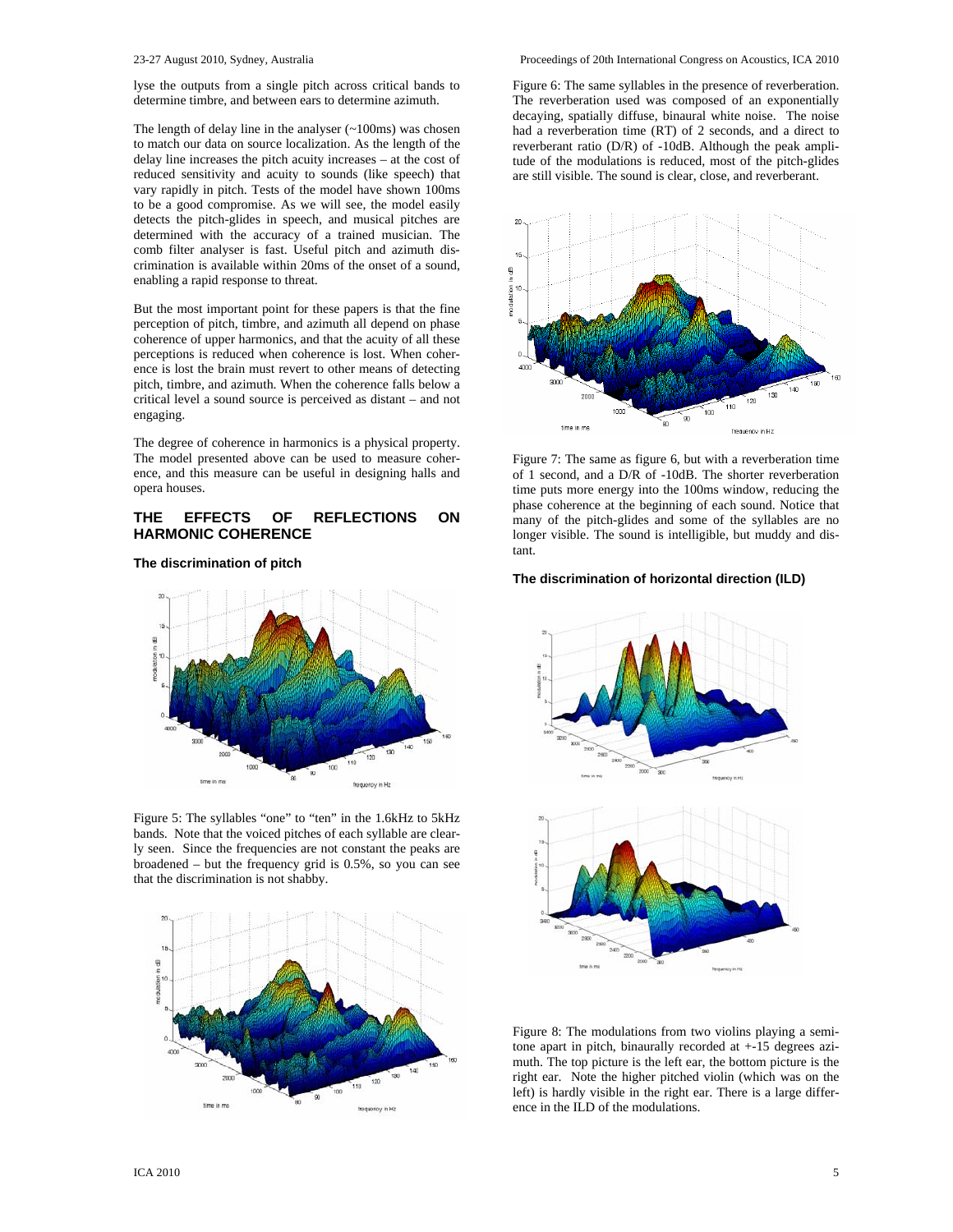lyse the outputs from a single pitch across critical bands to determine timbre, and between ears to determine azimuth.

The length of delay line in the analyser  $(-100)$  was chosen to match our data on source localization. As the length of the delay line increases the pitch acuity increases – at the cost of reduced sensitivity and acuity to sounds (like speech) that vary rapidly in pitch. Tests of the model have shown 100ms to be a good compromise. As we will see, the model easily detects the pitch-glides in speech, and musical pitches are determined with the accuracy of a trained musician. The comb filter analyser is fast. Useful pitch and azimuth discrimination is available within 20ms of the onset of a sound, enabling a rapid response to threat.

But the most important point for these papers is that the fine perception of pitch, timbre, and azimuth all depend on phase coherence of upper harmonics, and that the acuity of all these perceptions is reduced when coherence is lost. When coherence is lost the brain must revert to other means of detecting pitch, timbre, and azimuth. When the coherence falls below a critical level a sound source is perceived as distant – and not engaging.

The degree of coherence in harmonics is a physical property. The model presented above can be used to measure coherence, and this measure can be useful in designing halls and opera houses.

### **THE EFFECTS OF REFLECTIONS ON HARMONIC COHERENCE**

**The discrimination of pitch** 



Figure 5: The syllables "one" to "ten" in the 1.6kHz to 5kHz bands. Note that the voiced pitches of each syllable are clearly seen. Since the frequencies are not constant the peaks are broadened – but the frequency grid is 0.5%, so you can see that the discrimination is not shabby.



Figure 6: The same syllables in the presence of reverberation. The reverberation used was composed of an exponentially decaying, spatially diffuse, binaural white noise. The noise had a reverberation time (RT) of 2 seconds, and a direct to reverberant ratio (D/R) of -10dB. Although the peak amplitude of the modulations is reduced, most of the pitch-glides are still visible. The sound is clear, close, and reverberant.



Figure 7: The same as figure 6, but with a reverberation time of 1 second, and a D/R of -10dB. The shorter reverberation time puts more energy into the 100ms window, reducing the phase coherence at the beginning of each sound. Notice that many of the pitch-glides and some of the syllables are no longer visible. The sound is intelligible, but muddy and distant.

#### **The discrimination of horizontal direction (ILD)**



Figure 8: The modulations from two violins playing a semitone apart in pitch, binaurally recorded at +-15 degrees azimuth. The top picture is the left ear, the bottom picture is the right ear. Note the higher pitched violin (which was on the left) is hardly visible in the right ear. There is a large difference in the ILD of the modulations.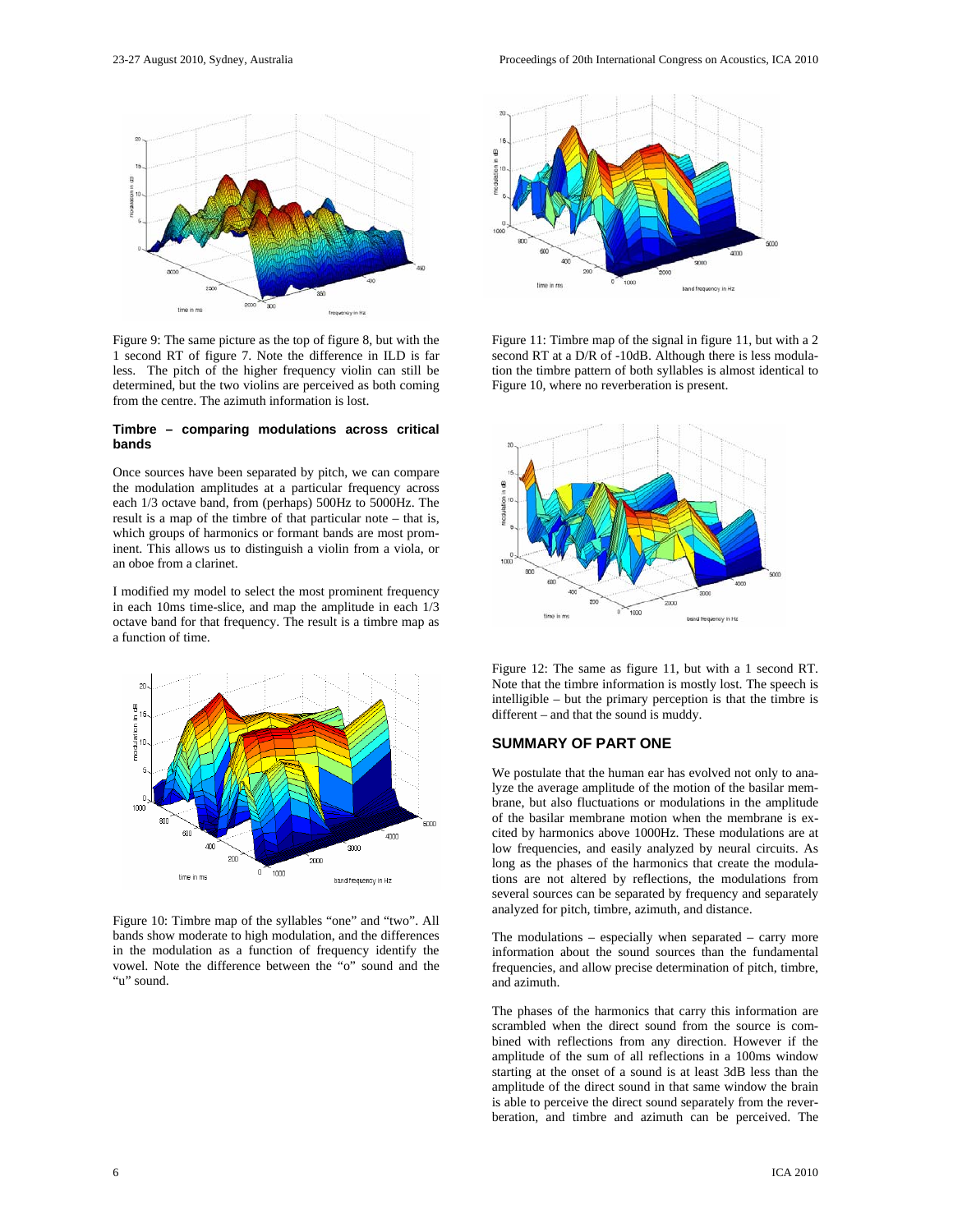

Figure 9: The same picture as the top of figure 8, but with the 1 second RT of figure 7. Note the difference in ILD is far less. The pitch of the higher frequency violin can still be determined, but the two violins are perceived as both coming from the centre. The azimuth information is lost.

#### **Timbre – comparing modulations across critical bands**

Once sources have been separated by pitch, we can compare the modulation amplitudes at a particular frequency across each 1/3 octave band, from (perhaps) 500Hz to 5000Hz. The result is a map of the timbre of that particular note – that is, which groups of harmonics or formant bands are most prominent. This allows us to distinguish a violin from a viola, or an oboe from a clarinet.

I modified my model to select the most prominent frequency in each 10ms time-slice, and map the amplitude in each 1/3 octave band for that frequency. The result is a timbre map as a function of time.



Figure 10: Timbre map of the syllables "one" and "two". All bands show moderate to high modulation, and the differences in the modulation as a function of frequency identify the vowel. Note the difference between the "o" sound and the "u" sound.



Figure 11: Timbre map of the signal in figure 11, but with a 2 second RT at a D/R of -10dB. Although there is less modulation the timbre pattern of both syllables is almost identical to Figure 10, where no reverberation is present.



Figure 12: The same as figure 11, but with a 1 second RT. Note that the timbre information is mostly lost. The speech is intelligible – but the primary perception is that the timbre is different – and that the sound is muddy.

# **SUMMARY OF PART ONE**

We postulate that the human ear has evolved not only to analyze the average amplitude of the motion of the basilar membrane, but also fluctuations or modulations in the amplitude of the basilar membrane motion when the membrane is excited by harmonics above 1000Hz. These modulations are at low frequencies, and easily analyzed by neural circuits. As long as the phases of the harmonics that create the modulations are not altered by reflections, the modulations from several sources can be separated by frequency and separately analyzed for pitch, timbre, azimuth, and distance.

The modulations – especially when separated – carry more information about the sound sources than the fundamental frequencies, and allow precise determination of pitch, timbre, and azimuth.

The phases of the harmonics that carry this information are scrambled when the direct sound from the source is combined with reflections from any direction. However if the amplitude of the sum of all reflections in a 100ms window starting at the onset of a sound is at least 3dB less than the amplitude of the direct sound in that same window the brain is able to perceive the direct sound separately from the reverberation, and timbre and azimuth can be perceived. The